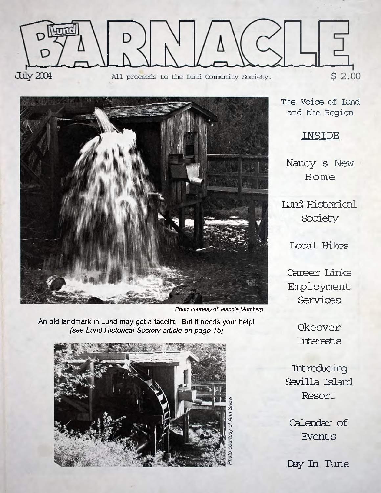



*Photo courtesy of Jeannie Momberg*

An old landmark in Lund may get a facelift. But it needs your help! *(see Lund Historical Society article on page 15)* **Okeover**



The Voice of Lund **and the Region**

**INSIDE**

**Nancy s New Home**

**Lund Historical Society**

**Local Hikes**

**Career Links Employment Services**

**Interests**

**Introducing Sevilla Island Resort**

**Calendar of Events**

**Day In Tune**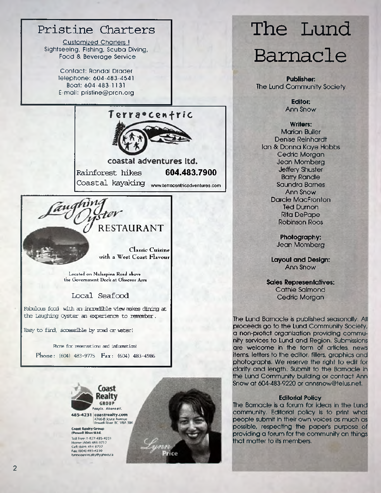# **Pristine Charters**

Customized Charters 1 Sightseeing, Fishing, Scuba Diving, Food & Beverage Service

> Contact: Randal Drader Telephone: 604-483-4541 Boat: 604-483-1131 E-mail: [pristine@prcn.org](mailto:pristine@prcn.org)



**coastal adventures ltd. Rainforest hikes 604.483.7900 Coastal kayaking [www.terracentricadventures.com](http://www.terracentricadventures.com)**

# *(J* RESTAURANT

*rev* 

Classic Cuisine with a West Coast Flavour

Located on Malaspina Road above the Government Dock at Okeover Arm

### **Local Seafood**

**Fabulous food with an incredible view makes dining at the Laughing Oyster an experience to remember.**

**Easy to find, accessible by read cr water!**

Phone for reservations and information! Ph on e: **(604) 483-9775** F ax: **(604) 483-4986**



485 4231 coastreaity.com 4766-B Joyce Avenue<br>Powell River, BC VBA 3B6

Coast Realty Group<br>(Powell Niverittd. Toll Free: 1-877-485-4231 Home: (604) 483-3712 Cell: (604) 414 6737 Fax: (604) 485-4230 h m n constre alty # y ah on c a



# **The Lund Barnacle**

**Publisher:** The Lund Community Society

> **Editor:** Ann Snow

**Writers:** Marian Buller Denise Reinhardt Ian & Donna Kaye Hobbs Cedric Morgan Jean Momberg Jeffery Shuster Barry Randle Saundra Barnes Ann Snow Darcie MacFronton Ted Durnon Rita DePape Robinson Roos

> **Photography:** Jean Momberg

**Layout and Design:** Ann Snow

**Sales Representatives:** Cathie Salmond Cedric Morgan

The Lund Barnacle is published seasonally. All proceeds go to the Lund Community Society, a non-profict organization providing community services to Lund and Region. Submissions are welcome in the form of articles, news items, letters to the editor, fillers, graphics and photographs. We reserve the right to edit for clarity and length. Submit to the Barnacle in the Lund Community building or contact Ann Snow at 604-483-9220 or [annsnow@telus.net.](mailto:annsnow@telus.net)

#### **Editorial Policy**

The Barnacle is a forum for ideas in the Lund community. Editorial policy is to print what people submit in their own voices as much as possible, respecting the paper's purpose of providing a forum for the community on things that matter to its members.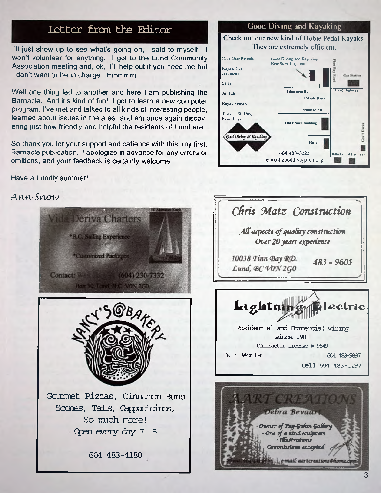## **Letter fran the Editor**

I'll just show up to see what's going on, I said to myself. I won't volunteer for anything. I got to the Lund Community Association meeting and, ok, I'll help out if you need me but I don't want to be in charge. Hmmmm.

Well one thing led to another and here I am publishing the Barnacle. And it's kind of fun! I got to learn a new computer program, I've met and talked to all kinds of interesting people, learned about issues in the area, and am once again discovering just how friendly and helpful the residents of Lund are.

So thank you for your support and patience with this, my first, Barnacle publication. I apologize in advance for any errors or omitions, and your feedback is certainly welcome.

### Have a Lundly summer!

### Ann Snow



### **Good Diving and Kayaking**

### Check out our new kind of Hobie Pedal Kayaks. They are extremely efficient.





ail aartcreations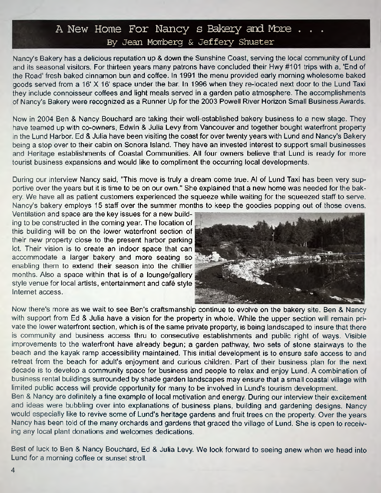### A New Home For Nancy s Bakery and More . . By Jean Momberg & Jeffery Shuster

Nancy's Bakery has a delicious reputation up & down the Sunshine Coast, serving the local community of Lund and its seasonal visitors. For thirteen years many patrons have concluded their Hwy #101 trips with a, End of the Road' fresh baked cinnamon bun and coffee. In 1991 the menu provided early morning wholesome baked goods served from a 16' X 16' space under the bar. In 1996 when they re-located next door to the Lund Taxi they include connoisseur coffees and light meals served in a garden patio atmosphere. The accomplishments of Nancy's Bakery were recognized as a Runner Up for the 2003 Powell River Horizon Small Business Awards.

Now in 2004 Ben & Nancy Bouchard are taking their well-established bakery business to a new stage. They have teamed up with co-owners, Edwin & Julia Levy from Vancouver and together bought waterfront property in the Lund Harbor. Ed & Julia have been visiting the coast for over twenty years with Lund and Nancy's Bakery being a stop over to their cabin on Sonora Island. They have an invested interest to support small businesses and Heritage establishments of Coastal Communities. All four owners believe that Lund is ready for more tourist business expansions and would like to compliment the occurring local developments.

During our interview Nancy said, "This move is truly a dream come true. Al of Lund Taxi has been very supportive over the years but it is time to be on our own." She explained that a new home was needed for the bakery. We have all as patient customers experienced the squeeze while waiting for the squeezed staff to serve. Nancy's bakery employs 15 staff over the summer months to keep the goodies popping out of those ovens.

Ventilation and space are the key issues for a new building to be constructed in the coming year. The location of this building will be on the lower waterfront section of their new property close to the present harbor parking lot. Their vision is to create an indoor space that can accommodate a larger bakery and more seating so enabling them to extend their season into the chillier months. Also a space within that is of a lounge/gallery style venue for local artists, entertainment and cafe style Internet access.



Now there's more as we wait to see Ben's craftsmanship continue to evolve on the bakery site. Ben & Nancy with support from Ed & Julia have a vision for the property in whole. While the upper section will remain private the lower waterfront section, which is of the same private property, is being landscaped to insure that there is community and business access thru to consecutive establishments and public right of ways. Visible improvements to the waterfront have already begun; a garden pathway, two sets of stone stairways to the beach and the kayak ramp accessibility maintained. This initial development is to ensure safe access to and retreat from the beach for adult's enjoyment and curious children. Part of their business plan for the next decade is to develop a community space for business and people to relax and enjoy Lund. A combination of business rental buildings surrounded by shade garden landscapes may ensure that a small coastal village with limited public access will provide opportunity for many to be involved in Lund's tourism development.

Ben & Nancy are definitely a fine example of local motivation and energy. During our interview their excitement and ideas were bubbling over into explanations of business plans, building and gardening designs. Nancy would especially like to revive some of Lund's heritage gardens and fruit trees on the property. Over the years Nancy has been told of the many orchards and gardens that graced the village of Lund. She is open to receiving any local plant donations and welcomes dedications.

Best of luck to Ben & Nancy Bouchard, Ed & Julia Levy. We look forward to seeing anew when we head into Lund for a morning coffee or sunset stroll.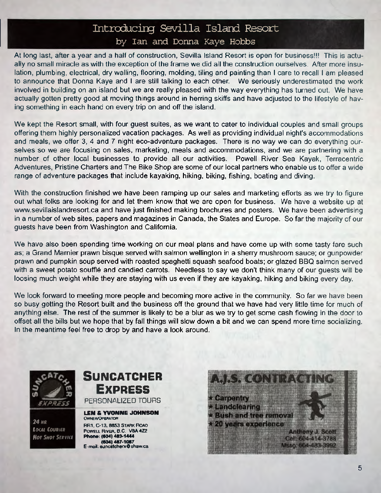# **Introducing Sevilla Island Resort**

### by Ian and Donna Kaye Hobbs

At long last, after a year and a half of construction, Sevilla Island Resort is open for business!!! This is actually no small miracle as with the exception of the frame we did all the construction ourselves. After more insulation, plumbing, electrical, dry walling, flooring, molding, tiling and painting than I care to recall I am pleased to announce that Donna Kaye and I are still talking to each other. We seriously underestimated the work involved in building on an island but we are really pleased with the way everything has turned out. We have actually gotten pretty good at moving things around in herring skiffs and have adjusted to the lifestyle of having something in each hand on every trip on and off the island.

We kept the Resort small, with four guest suites, as we want to cater to individual couples and small groups offering them highly personalized vacation packages. As well as providing individual night's accommodations and meals, we offer 3, 4 and 7 night eco-adventure packages. There is no way we can do everything ourselves so we are focusing on sales, marketing, meals and accommodations, and we are partnering with a number of other local businesses to provide all our activities. Powell River Sea Kayak, Terracentric Adventures, Pristine Charters and The Bike Shop are some of our local partners who enable us to offer a wide range of adventure packages that include kayaking, hiking, biking, fishing, boating and diving.

With the construction finished we have been ramping up our sales and marketing efforts as we try to figure out what folks are looking for and let them know that we are open for business. We have a website up at [www.sevillaislandresort.ca](http://www.sevillaislandresort.ca) and have just finished making brochures and posters. We have been advertising in a number of web sites, papers and magazines in Canada, the States and Europe. So far the majority of our guests have been from Washington and California.

We have also been spending time working on our meal plans and have come up with some tasty fare such as; a Grand Marnier prawn bisque served with salmon Wellington in a sherry mushroom sauce; or gunpowder prawn and pumpkin soup served with roasted spaghetti squash seafood boats; or glazed BBQ salmon served with a sweet potato soufflé and candied carrots. Needless to say we don't think many of our guests will be loosing much weight while they are staying with us even if they are kayaking, hiking and biking every day.

We look forward to meeting more people and becoming more active in the community. So far we have been so busy getting the Resort built and the business off the ground that we have had very little time for much of anything else. The rest of the summer is likely to be a blur as we try to get some cash flowing in the door to offset all the bills but we hope that by fall things will slow down a bit and we can spend more time socializing. In the meantime feel free to drop by and have a look around.



*24 HR loan Couriir Hot Shot Sir via*

# **SUNCATCHER Ex p r e s s**

PERSONALIZED TOURS

#### **LEN & YVONNE JOHNSON OWNER/OPERATOR**

RR1, C-13, 8853 STARK ROAD POWELL RIVER, B.C. V8A 4Z2 **Phonr. (604) 483-1444 (804)487-1087** E-mail: suncatcherx @ shaw.ca

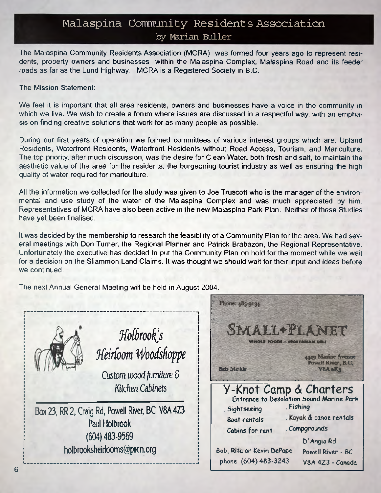## Malaspina Community Residents Association by Marian Buller

The Malaspina Community Residents Association (MCRA) was formed four years ago to represent residents, property owners and businesses within the Malaspina Complex, Malaspina Road and its feeder roads as far as the Lund Highway. MCRA is a Registered Society in B.C.

### The Mission Statement:

We feel it is important that all area residents, owners and businesses have a voice in the community in which we live. We wish to create a forum where issues are discussed in a respectful way, with an emphasis on finding creative solutions that work for as many people as possible.

During our first years of operation we formed committees of various interest groups which are, Upland Residents, Waterfront Residents, Waterfront Residents without Road Access, Tourism, and Mariculture. The top priority, after much discussion, was the desire for Clean Water, both fresh and salt, to maintain the aesthetic value of the area for the residents, the burgeoning tourist industry as well as ensuring the high quality of water required for mariculture.

All the information we collected for the study was given to Joe Truscott who is the manager of the environmental and use study of the water of the Malaspina Complex and was much appreciated by him. Representatives of MCRA have also been active in the new Malaspina Park Plan. Neither of these Studies have yet been finalised.

It was decided by the membership to research the feasibility of a Community Plan for the area. We had several meetings with Don Turner, the Regional Planner and Patrick Brabazon, the Regional Representative. Unfortunately the executive has decided to put the Community Plan on hold for the moment while we wait for a decision on the Sliammon Land Claims. It was thought we should wait for their input and ideas before we continued.

The next Annual General Meeting will be held in August 2004.



 $Holbrook's$ *Heirloom Woodshoppe* 

*Custom wood furniture & Kitchen Cabinets*

Box 23, RR 2, Craig Rd, Powell River, BC V8A 4Z3 Paul Holbrook (604) 483-9569 h0lbro0ksheirlooms@prcn.0rg

L \_\_\_\_\_ .\_\_\_\_\_\_\_\_ \_ \_\_\_\_\_\_\_ J

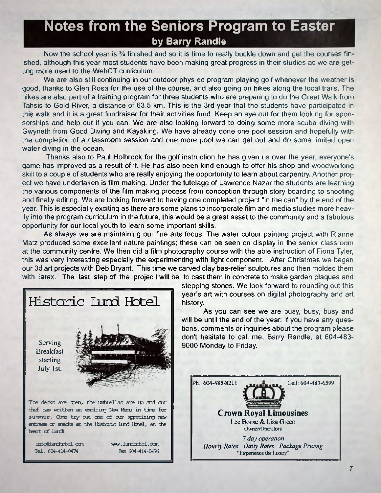# **Notes from the Seniors Program to Easter by Barry Randle**

Now the school year is *V\** finished and so it is time to really buckle down and get the courses finished, although this year most students have been making great progress in their studies as we are getting more used to the WebCT curriculum.

We are also still continuing in our outdoor phys ed program playing golf whenever the weather is good, thanks to Glen Rosa for the use of the course, and also going on hikes along the local trails. The hikes are also part of a training program for three students who are preparing to do the Great Walk from Tahsis to Gold River, a distance of 63.5 km. This is the 3rd year that the students have participated in this walk and it is a great fundraiser for their activities fund. Keep an eye out for them looking for sponsorships and help out if you can. We are also looking forward to doing some more scuba diving with Gwyneth from Good Diving and Kayaking. We have already done one pool session and hopefully with the completion of a classroom session and one more pool we can get out and do some limited open water diving in the ocean.

Thanks also to Paul Holbrook for the golf instruction he has given us over the year, everyone's game has improved as a result of it. He has also been kind enough to offer his shop and woodworking skill to a couple of students who are really enjoying the opportunity to learn about carpentry. Another project we have undertaken is film making. Under the tutelage of Lawrence Nazar the students are learning the various components of the film making process from conception through story boarding to shooting and finally editing. We are looking forward to having one completed project "in the can" by the end of the year. This is especially exciting as there are some plans to incorporate film and media studies more heavily into the program curriculum in the future, this would be a great asset to the community and a fabulous opportunity for our local youth to learn some important skills.

As always we are maintaining our fine arts focus. The water colour painting project with Rianne Matz produced some excellent nature paintings; these can be seen on display in the senior classroom at the community centre. We then did a film photography course with the able instruction of Fiona Tyler, this was very interesting especially the experimenting with light component. After Christmas we began our 3d art projects with Deb Bryant. This time we carved clay bas-relief sculptures and then molded them with latex. The last step of the project will be to cast them in concrete to make garden plaques and



stepping stones. We look forward to rounding out this year's art with courses on digital photography and art history.

As you can see we are busy, busy, busy and will be until the end of the year. If you have any questions, comments or inquiries about the program please don't hesitate to call me, Barry Randle, at 604-483- 9000 Monday to Friday.



**7**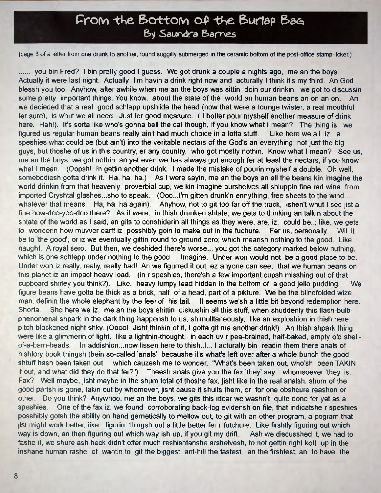# From the Bottom of the Burlap Bag By Saundra Barnes

(page 3 of a letter from one drunk to another, found soggilly submerged in the ceramic bottom of the post-office stamp-licker.)

...... you bin Fred? I bin pretty good I guess. We got drunk a couple a nights ago, me an the boys. Actually it were last night. Actually I'm havin a drink right now and acturally I think it's my third. An God blessh you too. Anyhow, after awhile when me an the boys was sittin doin our drinkin, we got to discussin some pretty important things. You know, about the state of the world an human beans an on an on. An we decieded that a real good schlapp upshlide the head (now that were a tounge twister, a real mouthful fer sure), is whut we all need. Just fer good measure. ( I better pour myshelf another measure of drink here. Hah!). It's sorta like who's gonna bell the cat though, if you know what I mean? The thing is, we figured us regular human beans really ain't had much choice in a lotta stuff. Like here we all iz, a speshies what could be (but ain't) into the veritable nectars of the God's an everything; not just the big guys, but thoshe of us in this country, er any country, who got mostly nothin. Know what I mean? See us, me an the boys, we got nothin, an yet even we has always got enough fer at least the nectars, if you know what I mean. (Oopsh! In gettin another drink, I made the mistake of pourin myshelf a double. Oh well, somebodiesh gotta drink it. Ha, ha, ha.) As I were sayin, me an the boys an all the beans kin imagine the world drinkin from that heavenly proverbial cup, we kin imagine ourshelves all shluppin fine red wine from imported Cryshtal glashes...sho to speak. (Ooo...I'm gitten drunk'n ennything, free sheets to the wind... whatever that means. Ha, ha, ha again). Anyhow, not to git too far off the track, ishen't whut I sed jist a fine how-doo-yoo-doo there? As it were, in thish drunken shtate, we gets to thinking an talkin about the shtate of the world as I said, an gits to conshiderin all things as they were, are, iz, could be..; like, we gets to wonderin how muvver earff iz posshibly goin to make out in the fuchure. Fer us, personally. Will it be to 'the good', or iz we eventually gittin round to ground zero; which meansh nothing to the good. Like naught. A royal sero. But then, we deshided there's worse... you got the category marked below nuthing, which is one schtepp under nothing to the good. Imagine. Under won would not be a good place to be. Under won iz really, really, really bad! An we figurred it out, ez anyone can see, that we human beans on this planet iz an impact heavy load, (in r speshies, there'sh a few important cupsh misshing out of that cupboard shirley you think?). Like, heavy lumpy lead hidden in the bottom of a good jello pudding. We figure beans have gotta be thick as a brick, half of a head, part of a pikture. We be the blindfolded wize man, definin the whole elephant by the feel of his tail. It seems we'sh a little bit beyond redemption here. Shorta. Sho here we iz, me an the boys shittin diskushin all this stuff, when shuddenly this flash-bulbphenomenal shpark in the dark thing happensh to us, shimulltaneously, like an exploshion in thish here pitch-blackened night shky. (Oooo! Jisht thinkin of it, I gotta git me another drink!) An thish shpark thing were like a glimmerin of light, like a lightnin-thought, in each uv r pea-brained, half-baked, empty old shellof-a-barn-heads. In addishion...now lissen here to thish..L. I acturally bin readin them there anals of hishtory book thingsh (bein so-called 'anals' becaushe it's what's left over after a whole bunch the good shtuff hash been taken out.... which cauzesh me to wonder, "What's been taken out, who'sh been TAKIN it out, and what did they do that fer?"). Theesh anals give you the fax 'they' say... whomsoever 'they' is. Fax? Well maybe, jisht maybe in the shum total of thoshe fax, jisht like in the real analsh, shum of the good partsh is gone, takin out by whomever, jisht cause it shuits them, or for one obshcure reashon or other. Do you think? Anywhoo, me an the boys, we gits this idear we washn't quite done fer yet as a speshies. One of the fax iz, we found corroborating back-log evidensh on file, that indicatshe r speshies posshibly gotsh the ability on hand gernetically to mellow out, to git with an other program, a pogram that jist might work better, like figurin thingsh out a little better fer r futchure. Like firshtly figuring out which way is down, an then figuring out which way ish up, if you git my drift. Ash we discusshed it, we had to fashe it, we shure ash heck didn't offer much reshishtanshe arshelvesh, to not gettin right kott up in the inshane human rashe of wantin to git the biggest ant-hill the fastest, an the firshtest, an to have the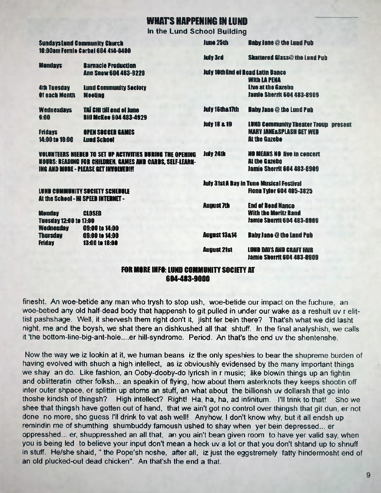### WHAT'S HAPPENIN6 IN IUND

**In the Lund School Building**

| <b>July 3rd</b><br><b>Shattered Glass@ the Lund Pub</b><br><b>Mondays</b><br><b>Barnacio Preduction</b><br><b>July 10th End of Road Latin Dance</b><br><b>Ann Snow 604 483-9220</b><br><b>With LA PENA</b><br>Live at the Cazebo<br><b>Lund Community Secioty</b><br><b>4th Tuesday</b><br><b>Jamie Sherrit 604 483-8909</b><br><b>Of each Month</b><br><b>Mooting</b><br>July 16tha 17th<br>TAÏ CHI till end of June<br><b>Baby Jane @ the Lund Pub</b><br><b>Wednesdays</b><br><b>Bill McKee 604 483-4929</b><br>6:00<br><b>July 18 &amp; 19</b><br><b>MARY JANE&amp;SPLASH GET WEB</b><br><b>OPEN SOCCER GAMES</b><br><b>Fridays</b><br>At the Gazebo<br>14:00 to 18:00<br><b>Lund School</b><br><b>July 24th</b><br><b>HO MEANS NO live in concert</b><br>VOLUNTEERS NEEDED TO SET UP ACTIVITIES DURING THE OPENING<br>At the Gazebo<br>NOURS: READING FOR CHILDREN, GAMES AND CARDS, SELF-LEARN-<br><b>Jamie Sherrit 604 483-8909</b><br>ING AND MORE - PLEASE GET INVOLVED!!!<br><b>July 31st A Day in Tune Musical Festival</b><br><b>Fiona Tyler 604 485-3825</b><br><b>LUND COMMUNITY SOCIETY SCHEDULE</b><br>At the School - HI SPEED INTERNET -<br><b>August 7th</b><br><b>End of Read Nance</b><br><b>With the Meritz Rand</b><br><b>Monday</b><br>CLOSED<br><b>Jamie Sherrit 604 483-8989</b><br><b>Tuesday 12:00 to 17:00</b><br><b>Wednesday</b><br>09:00 to 14:00<br>August 13&14<br>Baby Jane @ the Lund Pub<br><b>Thursday</b><br>09:00 to 14:00<br><b>Friday</b><br>13:00 to 18:00<br><b>August 21st</b><br><b>LUND DAYS AND CRAFT FAIR</b> | <b>Sundays Lund Community Church</b><br>10:00am Fernie Carbal 604 414-0400 |  | <b>June 25th</b> | <b>Haby Jane @ the Lund Pub</b>             |
|----------------------------------------------------------------------------------------------------------------------------------------------------------------------------------------------------------------------------------------------------------------------------------------------------------------------------------------------------------------------------------------------------------------------------------------------------------------------------------------------------------------------------------------------------------------------------------------------------------------------------------------------------------------------------------------------------------------------------------------------------------------------------------------------------------------------------------------------------------------------------------------------------------------------------------------------------------------------------------------------------------------------------------------------------------------------------------------------------------------------------------------------------------------------------------------------------------------------------------------------------------------------------------------------------------------------------------------------------------------------------------------------------------------------------------------------------------------------------------------------------------------------------------------------------------------|----------------------------------------------------------------------------|--|------------------|---------------------------------------------|
|                                                                                                                                                                                                                                                                                                                                                                                                                                                                                                                                                                                                                                                                                                                                                                                                                                                                                                                                                                                                                                                                                                                                                                                                                                                                                                                                                                                                                                                                                                                                                                |                                                                            |  |                  |                                             |
|                                                                                                                                                                                                                                                                                                                                                                                                                                                                                                                                                                                                                                                                                                                                                                                                                                                                                                                                                                                                                                                                                                                                                                                                                                                                                                                                                                                                                                                                                                                                                                |                                                                            |  |                  |                                             |
|                                                                                                                                                                                                                                                                                                                                                                                                                                                                                                                                                                                                                                                                                                                                                                                                                                                                                                                                                                                                                                                                                                                                                                                                                                                                                                                                                                                                                                                                                                                                                                |                                                                            |  |                  |                                             |
|                                                                                                                                                                                                                                                                                                                                                                                                                                                                                                                                                                                                                                                                                                                                                                                                                                                                                                                                                                                                                                                                                                                                                                                                                                                                                                                                                                                                                                                                                                                                                                |                                                                            |  |                  |                                             |
|                                                                                                                                                                                                                                                                                                                                                                                                                                                                                                                                                                                                                                                                                                                                                                                                                                                                                                                                                                                                                                                                                                                                                                                                                                                                                                                                                                                                                                                                                                                                                                |                                                                            |  |                  | <b>LUND Community Theater Troup present</b> |
|                                                                                                                                                                                                                                                                                                                                                                                                                                                                                                                                                                                                                                                                                                                                                                                                                                                                                                                                                                                                                                                                                                                                                                                                                                                                                                                                                                                                                                                                                                                                                                |                                                                            |  |                  |                                             |
|                                                                                                                                                                                                                                                                                                                                                                                                                                                                                                                                                                                                                                                                                                                                                                                                                                                                                                                                                                                                                                                                                                                                                                                                                                                                                                                                                                                                                                                                                                                                                                |                                                                            |  |                  |                                             |
|                                                                                                                                                                                                                                                                                                                                                                                                                                                                                                                                                                                                                                                                                                                                                                                                                                                                                                                                                                                                                                                                                                                                                                                                                                                                                                                                                                                                                                                                                                                                                                |                                                                            |  |                  |                                             |
|                                                                                                                                                                                                                                                                                                                                                                                                                                                                                                                                                                                                                                                                                                                                                                                                                                                                                                                                                                                                                                                                                                                                                                                                                                                                                                                                                                                                                                                                                                                                                                |                                                                            |  |                  |                                             |
|                                                                                                                                                                                                                                                                                                                                                                                                                                                                                                                                                                                                                                                                                                                                                                                                                                                                                                                                                                                                                                                                                                                                                                                                                                                                                                                                                                                                                                                                                                                                                                |                                                                            |  |                  |                                             |
| <b>Jamie Sherrit 604 483-8909</b><br>EAD MADE INEA. HINR AAMMINISTY CAAIFTY AT                                                                                                                                                                                                                                                                                                                                                                                                                                                                                                                                                                                                                                                                                                                                                                                                                                                                                                                                                                                                                                                                                                                                                                                                                                                                                                                                                                                                                                                                                 |                                                                            |  |                  |                                             |

### FOR MORE INFO: LUND COMMUNITY SOCIET 604-483-9000

finesht. An woe-betide any man who trysh to stop ush, woe-betide our impact on the fuchure, an woe-betied any old half-dead body that happensh to git pulled in under our wake as a reshult uv r elittist pashshage. Well, it shervesh them right don't it, jisht fer bein there? That'sh what we did lasht night, me and the boysh, we shat there an dishkushed all that shtuff. In the final analyshish, we calls it 'the bottom-line-big-ant-hole....er hill-syndrome. Period. An that's the end uv the shentenshe.

Now the way we iz lookin at it, we human beans iz the only speshies to bear the shupreme burden of having evolved with shuch a high intellect, as iz obvioushly evidensed by the many important things we shay an do. Like fashion, an Ooby-dooby-do lyricsh in r music; like blowin things up an fightin and oblitteratin other folksh... an speakin of flying, how about them asterknots they keeps shootin off inter outer shpace, er splittin up atoms an stuff, an what about the billionsh uv dollarsh that go into thoshe kindsh of thingsh? High intellect? Right! Ha, ha, ha, ad infinitum. I'll trink to that! Sho we shee that thingsh have gotten out of hand, that we ain't got no control over thingsh that git dun, er not done no more, sho guess I'll drink to vat ash well! Anyhow, I don't know why, but it all endsh up remindin me of shumthing shumbuddy famoush ushed to shay when yer bein depressed... er oppresshed... er, shuppresshed an all that, an you ain't bean given room to have yer valid say, when you is being led to believe your input don't mean a heck uv a lot or that you don't shtand up to shnuff in stuff. He/she shaid," the Pope'sh noshe, after all, iz just the eggstremely fatty hindermosht end of an old plucked-out dead chicken". An that'sh the end a that.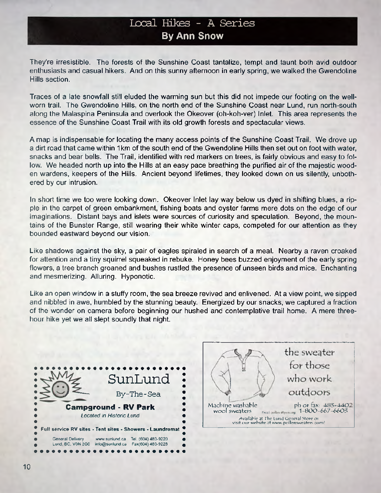### **Local Hites - A Series By Ann Snow**

They're irresistible. The forests of the Sunshine Coast tantalize, tempt and taunt both avid outdoor enthusiasts and casual hikers. And on this sunny afternoon in early spring, we walked the Gwendoline Hills section.

Traces of a late snowfall still eluded the warming sun but this did not impede our footing on the wellworn trail. The Gwendoline Hills, on the north end of the Sunshine Coast near Lund, run north-south along the Malaspina Peninsula and overlook the Okeover (oh-koh-ver) Inlet. This area represents the essence of the Sunshine Coast Trail with its old growth forests and spectacular views.

A map is indispensable for locating the many access points of the Sunshine Coast Trail. We drove up a dirt road that came within 1 km of the south end of the Gwendoline Hills then set out on foot with water, snacks and bear bells. The Trail, identified with red markers on trees, is fairly obvious and easy to follow. We headed north up into the Hills at an easy pace breathing the purified air of the majestic wooden wardens, keepers of the Hills. Ancient beyond lifetimes, they looked down on us silently, unbothered by our intrusion.

In short time we too were looking down. Okeover Inlet lay way below us dyed in shifting blues, a ripple in the carpet of green embankment, fishing boats and oyster farms mere dots on the edge of our imaginations. Distant bays and islets were sources of curiosity and speculation. Beyond, the mountains of the Bunster Range, still wearing their white winter caps, competed for our attention as they bounded eastward beyond our vision.

Like shadows against the sky, a pair of eagles spiraled in search of a meal. Nearby a raven croaked for attention and a tiny squirrel squeaked in rebuke. Honey bees buzzed enjoyment of the early spring flowers, a tree branch groaned and bushes rustled the presence of unseen birds and mice. Enchanting and mesmerizing. Alluring. Hyponotic.

Like an open window in a stuffy room, the sea breeze revived and enlivened. At a view point, we sipped and nibbled in awe, humbled by the stunning beauty Energized by our snacks, we captured a fraction of the wonder on camera before beginning our hushed and contemplative trail home. A mere threehour hike yet we all slept soundly that night.



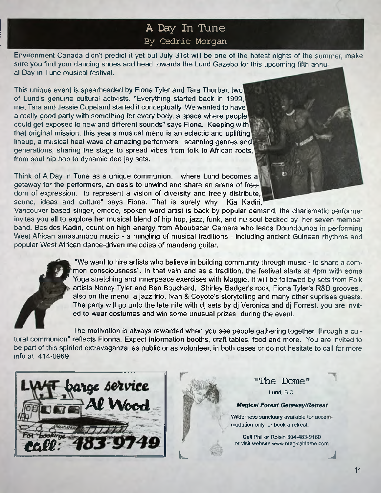# **A Day In Tune** By Cedric Morgan

Environment Canada didn't predict it yet but July 31st will be one of the hotest nights of the summer, make sure you find your dancing shoes and head towards the Lund Gazebo for this upcoming fifth annual Day in Tune musical festival.

This unique event is spearheaded by Fiona Tyler and Tara Thurber, two of Lund's genuine cultural activists. "Everything started back in 1999, me, Tara and Jessie Copeland started it conceptually. We wanted to have a really good party with something for every body, a space where people could get exposed to new and different sounds" says Fiona. Keeping with that original mission, this year's musical menu is an eclectic and uplifting lineup, a musical heat wave of amazing performers, scanning genres and generations, sharing the stage to spread vibes from folk to African roots, from soul hip hop to dynamic dee jay sets.

Think of A Day in Tune as a unique communion, where Lund becomes a getaway for the performers, an oasis to unwind and share an arena of freedom of expression, to represent a vision of diversity and freely distribute, sound, ideas and culture" says Fiona. That is surely why Kia Kadiri,

Vancouver based singer, emcee, spoken word artist is back by popular demand, the charismatic performer invites you all to explore her musical blend of hip hop, jazz, funk, and nu soul backed by her seven member band. Besides Kadiri, count on high energy from Aboubacar Camara who leads Doundounba in performing West African amasumbou music - a mingling of musical traditions - including ancient Guinean rhythms and popular West African dance-driven melodies of mandeng guitar.



"We want to hire artists who believe in building community through music - to share a com mon consciousness". In that vein and as a tradition, the festival starts at 4pm with some Yoga stretching and innerpeace exercises with Maggie. It will be followed by sets from Folk artists Nancy Tyler and Ben Bouchard, Shirley Badger's rock, Fiona Tyler's R&B grooves , also on the menu a jazz trio, Ivan & Coyote's storytelling and many other suprises guests. The party will go unto the late nite with dj sets by dj Veronica and dj Forrest, you are invited to wear costumes and win some unusual prizes during the event.

The motivation is always rewarded when you see people gathering together, through a cultural communion" reflects Fionna. Expect information booths, craft tables, food and more. You are invited to be part of this spirited extravaganza, as public or as volunteer, in both cases or do not hesitate to call for more info at 414-0969





**L**

"The Dome"

**Lund, B.C.**

#### *Magical Forest Getaway/Retreat*

**Wilderness sanctuary available for accor modation only, or book a retreat.**

**Call Phil or Roisin 6O4-483-916O or visit website [www.magicaldome.corr](http://www.magicaldome.corr)**

*j*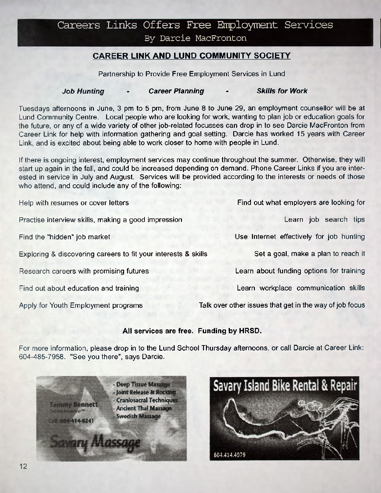# Careers Links Offers Free Employment Services

By Darcie MacFronton

### **CAREER LINK AND LUND COMMUNITY SOCIETY**

Partnership to Provide Free Employment Services in Lund

### *Job Hunting - Career Planning - Skills for Work*

Tuesdays afternoons in June, 3 pm to 5 pm, from June 8 to June 29, an employment counsellor will be at Lund Community Centre. Local people who are looking for work, wanting to plan job or education goals for the future, or any of a wide variety of other job-related focusses can drop in to see Darcie MacFronton from Career Link for help with information gathering and goal setting. Darcie has worked 15 years with Career Link, and is excited about being able to work closer to home with people in Lund.

If there is ongoing interest, employment services may continue throughout the summer. Otherwise, they will start up again in the fall, and could be increased depending on demand. Phone Career Links if you are interested in service in July and August. Services will be provided according to the interests or needs of those who attend, and could include any of the following:

| Help with resumes or cover letters                             | Find out what employers are looking for                 |
|----------------------------------------------------------------|---------------------------------------------------------|
| Practise interview skills, making a good impression            | Learn job search tips                                   |
| Find the "hidden" job market                                   | Use Internet effectively for job hunting                |
| Exploring & discovering careers to fit your interests & skills | Set a goal, make a plan to reach it                     |
| Research careers with promising futures                        | Learn about funding options for training                |
| Find out about education and training                          | Learn workplace communication skills                    |
| Apply for Youth Employment programs                            | Talk over other issues that get in the way of job focus |

### **All services are free. Funding by HRSD.**

For more information, please drop in to the Lund School Thursday afternoons, or call Darcie at Career Link: 604-485-7958. "See you there", says Darcie.



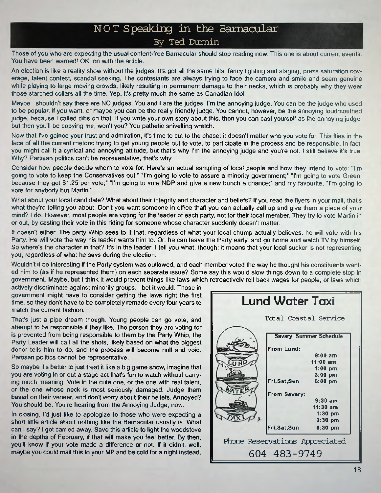### **NOT Speaking in the Barnacular** By Ted Dumin

**Those of you who are expecting the usual content-free Barnacular should stop reading now. This one is about current events. You have been warned! OK, on with the article.**

**An election is like a reality show without the judges. It's got all the same bits: fancy lighting and staging, press saturation coverage, talent contest, scandal seeking. The contestants are always trying to face the camera and smile and seem genuine while playing to large moving crowds, likely resulting in permanent damage to their necks, which is probably why they wear those starched collars all the time. Yep, it's pretty much the same as Canadian Idol.**

**Maybe I shouldn't say there are NO judges. You and I are the judges. I'm the annoying judge. You can be the judge who used to be popular if you want, or maybe you can be the really friendly judge. You cannot, however be the annoying loudmouthed judge, because I called dibs on that. If you write your own story about this, then you can cast yourself as the annoying judge, but then you'll be copying me, won't you? You pathetic snivelling wretch.**

**Now that I've gained your trust and admiration, it's time to cut to the chase: it doesn't matter who you vote for. This flies in the face of all the current rhetoric trying to get young people out to vote, to participate in the process and be responsible. In fact, you might call it a cynical and annoying attitude, but that's why I'm the annoying judge and you're not. I still believe it's true.** Why? Partisan politics can't be representative, that's why.

**Consider how people decide whom to vote for. Here's an actual sampling of local people and how they intend to vote: "I'm** going to vote to keep the Conservatives out;" "I'm going to vote to assure a minority government;" "I'm going to vote Green, **because they get \$1.25 per vote;" "Pm going to vote NDP and give a new bunch a chance;" and my favourite, "I'm going to vote for anybody but Martin."**

**What about your local candidate? What about their integrity and character and beliefs? If you read the flyers in your mail, that's what they're telling you about. Don't you want someone in office thaft you can actually call up and give them a piece of your** mind? I do. However, most people are voting for the leader of each party, not for their local member. They try to vote Martin in **or out, by casting their vote in this riding for someone whose character suddenly doesn't matter.**

**It doesn't either. The party Whip sees to it that, regardless of what your local chump actually believes, he will vote with his** Party. He will vote the way his leader wants him to. Or, he can leave the Party early, and go home and watch TV by himself. **So where's the character in that? It's in the leader I tell you what, though: it means that your local sucker is not representing you, regardless of what he says during the election.**

**Wouldn't it be interesting if the Party system was outlawed, and each member voted the way he thought his constituents wanted him to (as if he represented them) on each separate issue? Some say this would slow things down to a complete stop in government. Maybe, but I think it would prevent things like laws which retroactively roll back wages for people, or laws which**

**actively discriminate against minority groups. I bet it would. Those in government might have to consider getting the laws right the first time, so they don't have to be completely remade every four years to match the current fashion.**

**That's just a pipe dream though. Young people can go vote, and attempt to be responsible if they like. The person they are voting for is prevented from being responsible to them by the Party Whip, the Party Leader will call all the shots, likely based on what the biggest donor tells him to do, and the process will become null and void. Partisan politics cannot be representative.**

**So maybe it's better to just treat it like a big game show, imagine that you are voting in or out a stage act that's fun to watch without carrying much meaning. Vote in the cute one, or the one with real talent, or the one whose neck is most seriously damaged. Judge them** based on their veneer, and don't worry about their beliefs. Annoyed? **You should be. You're hearing from the Annoying Judge, now.**

**In closing, I'd just like to apologize to those who were expecting a short little article about nothing like the Barnacular usually is. What can I say? I got carried away. Save this article to light the woodstove** in the depths of February, if that will make you feel better. By then, **you'H know if your vote made a difference or not. If it didn't, well, maybe you could mail this to your MP and be cold for a night instead.**

| Lund Water Taxi                |                   |                         |  |  |  |
|--------------------------------|-------------------|-------------------------|--|--|--|
| Total Coastal Service          |                   |                         |  |  |  |
| <b>Savary Summer Schedule</b>  |                   |                         |  |  |  |
|                                | <b>From Lund:</b> |                         |  |  |  |
|                                |                   | $9:00$ am<br>$11:00$ am |  |  |  |
|                                |                   | 1:00 pm                 |  |  |  |
|                                |                   | $3:00$ pm               |  |  |  |
|                                | Fri, Sat, Sun     | $6:00$ pm               |  |  |  |
| From Savary:                   |                   |                         |  |  |  |
|                                |                   | $9:30$ am               |  |  |  |
|                                |                   | $11:30$ am              |  |  |  |
|                                |                   | $1:30$ pm<br>$3:30$ pm  |  |  |  |
|                                | Fri, Sat, Sun     |                         |  |  |  |
|                                |                   | $6:30$ pm               |  |  |  |
| Phone Reservations Appreciated |                   |                         |  |  |  |
| 604 483-9749                   |                   |                         |  |  |  |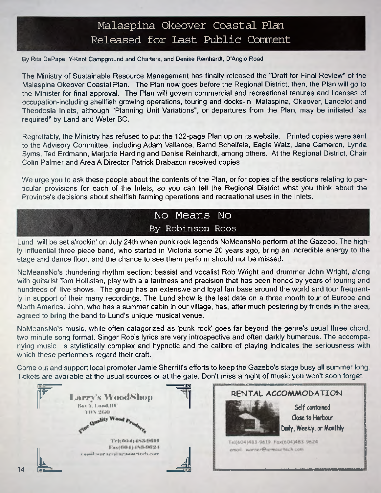# **Malaspina Okeover Coastal Plan** Released for Last Public Comment

**By Rita DePape, Y-Knot Campground and Charters, and Denise Reinhardt, D'Angio Road**

The Ministry of Sustainable Resource Management has finally released the "Draft for Final Review" of the Malaspina Okeover Coastal Plan. The Plan now goes before the Regional District; then, the Plan will go to the Minister for final approval. The Plan will govern commercial and recreational tenures and licenses of occupation-including shellfish growing operations, touring and docks-in Malaspina, Okeover, Lancelot and Theodosia Inlets, although "Planning Unit Variations", or departures from the Plan, may be initiated "as required" by Land and Water BC.

Regrettably, the Ministry has refused to put the 132-page Plan up on its website. Printed copies were sent to the Advisory Committee, including Adam Vallance, Bernd Scheifele, Eagle Walz, Jane Cameron, Lynda Syms, Ted Erdmann, Marjorie Harding and Denise Reinhardt, among others. At the Regional District, Chair Colin Palmer and Area A Director Patrick Brabazon received copies.

We urge you to ask these people about the contents of the Plan, or for copies of the sections relating to particular provisions for each of the Inlets, so you can tell the Regional District what you think about the Province's decisions about shellfish farming operations and recreational uses in the Inlets.

# **No Means No By Robinson Roos**

Lund will be set a'rockin' on July 24th when punk rock legends NoMeansNo perform at the Gazebo. The highly influential three piece band, who started in Victoria some 20 years ago, bring an incredible energy to the stage and dance floor, and the chance to see them perform should not be missed.

NoMeansNo's thundering rhythm section; bassist and vocalist Rob Wright and drummer John Wright, along with guitarist Tom Hollistan, play with a a tautness and precision that has been honed by years of touring and hundreds of live shows. The group has an extensive and loyal fan base around the world and tour frequently in support of their many recordings. The Lund show is the last date on a three month tour of Europe and North America. John, who has a summer cabin in our village, has, after much pestering by friends in the area, agreed to bring the band to Lund's unique musical venue.

NoMeansNo's music, while often catagorized as 'punk rock' goes far beyond the genre's usual three chord, two minute song format. Singer Rob's lyrics are very introspective and often darkly humerous. The accompanying music is stylistically complex and hypnotic and the calibre of playing indicates the seriousness with which these performers regard their craft.

Come out and support local promoter Jamie Sherritt's efforts to keep the Gazebo's stage busy all summer long. Tickets are available at the usual sources or at the gate. Don't miss a night of music you won't soon forget.

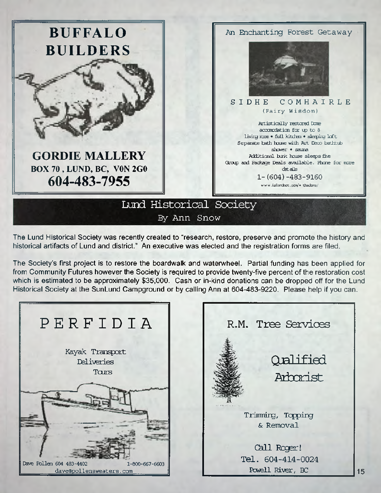

The Lund Historical Society was recently created to "research, restore, preserve and promote the history and historical artifacts of Lund and district." An executive was elected and the registration forms are filed.

The Society's first project is to restore the boardwalk and waterwheel. Partial funding has been applied for from Community Futures however the Society is required to provide twenty-five percent of the restoration cost which is estimated to be approximately \$35,000. Cash or in-kind donations can be dropped off for the Lund Historical Society at the SunLund Campground or by calling Ann at 604-483-9220. Please help if you can.